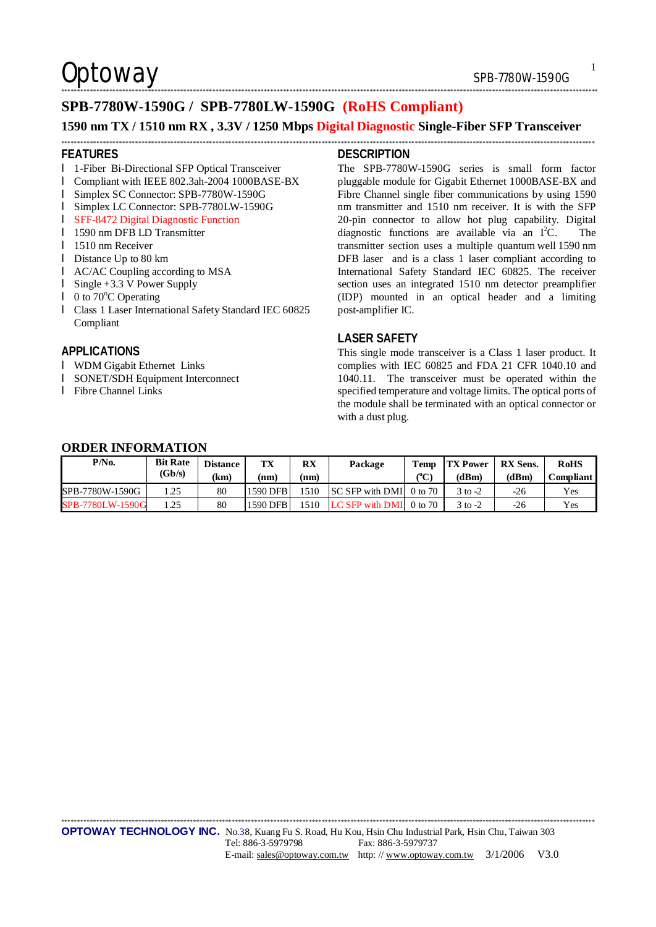\*\*\*\*\*\*\*\*\*\*\*\*\*\*\*\*\*\*\*\*\*\*\*\*\*\*\*\*\*\*\*\*\*\*\*\*\*\*\*\*\*\*\*\*\*\*\*\*\*\*\*\*\*\*\*\*\*\*\*\*\*\*\*\*\*\*\*\*\*\*\*\*\*\*\*\*\*\*\*\*\*\*\*\*\*\*\*\*\*\*\*\*\*\*\*\*\*\*\*\*\*\*\*\*\*\*\*\*\*\*\*\*\*\*\*\*\*\*\*\*\*\*\*\*\*\*\*\*\*\*\*\*\*\*\*\*\*\*\*\*\*\*\*\*\*\*\*\*\*\*\*\*\*\*\*\*\*\*\*\*\*\*\*\*\*\*\*

## **SPB-7780W-1590G / SPB-7780LW-1590G (RoHS Compliant)**

### **1590 nm TX / 1510 nm RX , 3.3V / 1250 Mbps Digital Diagnostic Single-Fiber SFP Transceiver**  \*\*\*\*\*\*\*\*\*\*\*\*\*\*\*\*\*\*\*\*\*\*\*\*\*\*\*\*\*\*\*\*\*\*\*\*\*\*\*\*\*\*\*\*\*\*\*\*\*\*\*\*\*\*\*\*\*\*\*\*\*\*\*\*\*\*\*\*\*\*\*\*\*\*\*\*\*\*\*\*\*\*\*\*\*\*\*\*\*\*\*\*\*\*\*\*\*\*\*\*\*\*\*\*\*\*\*\*\*\*\*\*\*\*\*\*\*\*\*\*\*\*\*\*\*\*\*\*\*\*\*\*\*\*\*\*\*\*\*\*\*\*\*\*\*\*\*\*\*\*\*\*\*\*\*\*\*\*\*\*\*\*\*\*\*\*

## **FEATURES**

- l 1-Fiber Bi-Directional SFP Optical Transceiver
- l Compliant with IEEE 802.3ah-2004 1000BASE-BX
- l Simplex SC Connector: SPB-7780W-1590G
- l Simplex LC Connector: SPB-7780LW-1590G
- l SFF-8472 Digital Diagnostic Function
- l 1590 nm DFB LD Transmitter
- **l** 1510 nm Receiver
- l Distance Up to 80 km
- l AC/AC Coupling according to MSA
- l Single +3.3 V Power Supply
- $\blacksquare$  0 to 70 $\degree$ C Operating
- l Class 1 Laser International Safety Standard IEC 60825 Compliant

## **APPLICATIONS**

- l WDM Gigabit Ethernet Links
- l SONET/SDH Equipment Interconnect
- l Fibre Channel Links

## **DESCRIPTION**

The SPB-7780W-1590G series is small form factor pluggable module for Gigabit Ethernet 1000BASE-BX and Fibre Channel single fiber communications by using 1590 nm transmitter and 1510 nm receiver. It is with the SFP 20-pin connector to allow hot plug capability. Digital diagnostic functions are available via an  $I<sup>2</sup>C$ . The transmitter section uses a multiple quantum well 1590 nm DFB laser and is a class 1 laser compliant according to International Safety Standard IEC 60825. The receiver section uses an integrated 1510 nm detector preamplifier (IDP) mounted in an optical header and a limiting post-amplifier IC.

### **LASER SAFETY**

This single mode transceiver is a Class 1 laser product. It complies with IEC 60825 and FDA 21 CFR 1040.10 and 1040.11. The transceiver must be operated within the specified temperature and voltage limits. The optical ports of the module shall be terminated with an optical connector or with a dust plug.

## **ORDER INFORMATION**

| $P/N0$ .         | <b>Bit Rate</b><br>(Gb/s) | <b>Distance</b><br>(km | TX<br>(nm | RX<br>'nm) | Package                | Temp<br>$\alpha$ | <b>TX Power</b><br>(dBm) | <b>RX</b> Sens.<br>(dBm | <b>RoHS</b><br>Compliant |
|------------------|---------------------------|------------------------|-----------|------------|------------------------|------------------|--------------------------|-------------------------|--------------------------|
| SPB-7780W-1590G  | .25                       | 80                     | 1590 DFB  | 1510       | <b>SC SFP</b> with DMI | 0 to 70          | $3$ to $-2$              | -26                     | Yes                      |
| SPB-7780LW-1590G |                           | 80                     | 1590 DFB  | 1510       | LC SFP with DMI        | 0 to 70          | $3$ to $-2$              | -26                     | Yes                      |

\*\*\*\*\*\*\*\*\*\*\*\*\*\*\*\*\*\*\*\*\*\*\*\*\*\*\*\*\*\*\*\*\*\*\*\*\*\*\*\*\*\*\*\*\*\*\*\*\*\*\*\*\*\*\*\*\*\*\*\*\*\*\*\*\*\*\*\*\*\*\*\*\*\*\*\*\*\*\*\*\*\*\*\*\*\*\*\*\*\*\*\*\*\*\*\*\*\*\*\*\*\*\*\*\*\*\*\*\*\*\*\*\*\*\*\*\*\*\*\*\*\*\*\*\*\*\*\*\*\*\*\*\*\*\*\*\*\*\*\*\*\*\*\*\*\*\*\*\*\*\*\*\*\*\*\*\*\*\*\*\*\*\*\*\*\*

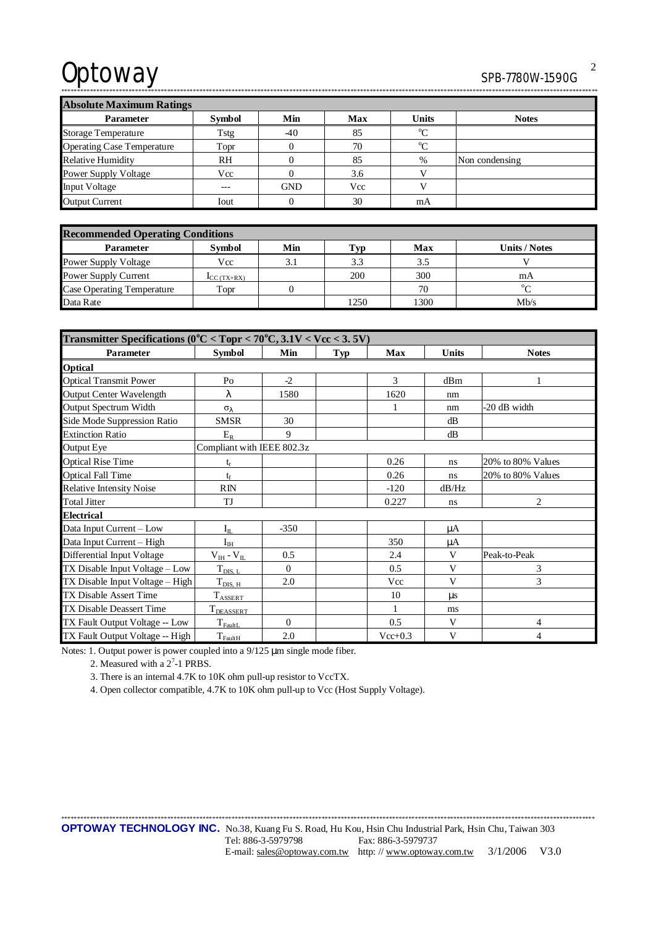\*\*\*\*\*\*\*\*\*\*\*\*\*\*\*\*\*\*\*\*\*\*\*\*\*\*\*\*\*\*\*\*\*\*\*\*\*\*\*\*\*\*\*\*\*\*\*\*\*\*\*\*\*\*\*\*\*\*\*\*\*\*\*\*\*\*\*\*\*\*\*\*\*\*\*\*\*\*\*\*\*\*\*\*\*\*\*\*\*\*\*\*\*\*\*\*\*\*\*\*\*\*\*\*\*\*\*\*\*\*\*\*\*\*\*\*\*\*\*\*\*\*\*\*\*\*\*\*\*\*\*\*\*\*\*\*\*\*\*\*\*\*\*\*\*\*\*\*\*\*\*\*\*\*\*\*\*\*\*\*\*\*\*\*\*\*\*

| <b>Absolute Maximum Ratings</b>   |               |            |     |              |                |  |  |
|-----------------------------------|---------------|------------|-----|--------------|----------------|--|--|
| <b>Parameter</b>                  | <b>Symbol</b> | Min        | Max | <b>Units</b> | <b>Notes</b>   |  |  |
| <b>Storage Temperature</b>        | Tstg          | $-40$      | 85  | $\rm ^{o}C$  |                |  |  |
| <b>Operating Case Temperature</b> | Topr          |            | 70  | $^{\circ}C$  |                |  |  |
| <b>Relative Humidity</b>          | <b>RH</b>     |            | 85  | $\%$         | Non condensing |  |  |
| <b>Power Supply Voltage</b>       | Vcc           |            | 3.6 |              |                |  |  |
| Input Voltage                     |               | <b>GND</b> | Vcc |              |                |  |  |
| <b>Output Current</b>             | Iout          |            | 30  | mA           |                |  |  |

| <b>Recommended Operating Conditions</b> |               |     |      |      |                      |  |  |
|-----------------------------------------|---------------|-----|------|------|----------------------|--|--|
| <b>Parameter</b>                        | <b>Symbol</b> | Min | Typ  | Max  | <b>Units / Notes</b> |  |  |
| <b>Power Supply Voltage</b>             | Vcc           | 3.1 | 3.3  | 3.5  |                      |  |  |
| Power Supply Current                    | $LC(TX+RX)$   |     | 200  | 300  | mA                   |  |  |
| <b>Case Operating Temperature</b>       | Topr          |     |      | 70   | $\sim$               |  |  |
| Data Rate                               |               |     | 1250 | 1300 | Mb/s                 |  |  |

| Transmitter Specifications ( $0^{\circ}$ C < Topr < 70 $^{\circ}$ C, 3.1V < Vcc < 3.5V) |                            |          |     |              |              |                   |  |
|-----------------------------------------------------------------------------------------|----------------------------|----------|-----|--------------|--------------|-------------------|--|
| <b>Parameter</b>                                                                        | <b>Symbol</b>              | Min      | Typ | Max          | <b>Units</b> | <b>Notes</b>      |  |
| Optical                                                                                 |                            |          |     |              |              |                   |  |
| <b>Optical Transmit Power</b>                                                           | P <sub>O</sub>             | $-2$     |     | 3            | dBm          |                   |  |
| <b>Output Center Wavelength</b>                                                         | λ                          | 1580     |     | 1620         | nm           |                   |  |
| Output Spectrum Width                                                                   | $\sigma_{\lambda}$         |          |     | 1            | nm           | -20 dB width      |  |
| Side Mode Suppression Ratio                                                             | <b>SMSR</b>                | 30       |     |              | dB           |                   |  |
| <b>Extinction Ratio</b>                                                                 | $E_R$                      | 9        |     |              | dB           |                   |  |
| Output Eye                                                                              | Compliant with IEEE 802.3z |          |     |              |              |                   |  |
| <b>Optical Rise Time</b>                                                                | t,                         |          |     | 0.26         | ns           | 20% to 80% Values |  |
| <b>Optical Fall Time</b>                                                                | $t_{\rm f}$                |          |     | 0.26         | ns           | 20% to 80% Values |  |
| <b>Relative Intensity Noise</b>                                                         | RIN                        |          |     | $-120$       | dB/Hz        |                   |  |
| <b>Total Jitter</b>                                                                     | TJ                         |          |     | 0.227        | ns           | $\overline{2}$    |  |
| <b>Electrical</b>                                                                       |                            |          |     |              |              |                   |  |
| Data Input Current - Low                                                                | $I_{IL}$                   | $-350$   |     |              | μA           |                   |  |
| Data Input Current - High                                                               | $\mathbf{I}_{\rm IH}$      |          |     | 350          | μA           |                   |  |
| Differential Input Voltage                                                              | $V_{IH} - V_{IL}$          | 0.5      |     | 2.4          | V            | Peak-to-Peak      |  |
| TX Disable Input Voltage - Low                                                          | $T_{\text{DIS, L}}$        | $\Omega$ |     | 0.5          | V            | 3                 |  |
| TX Disable Input Voltage - High                                                         | $T_{\text{DIS, H}}$        | 2.0      |     | Vcc          | V            | 3                 |  |
| TX Disable Assert Time                                                                  | TASSERT                    |          |     | 10           | $\mu s$      |                   |  |
| TX Disable Deassert Time                                                                | T <sub>DEASSERT</sub>      |          |     | $\mathbf{1}$ | ms           |                   |  |
| TX Fault Output Voltage -- Low                                                          | $\mathrm{T_{FaultL}}$      | $\Omega$ |     | 0.5          | V            | 4                 |  |
| TX Fault Output Voltage -- High                                                         | $T_{\text{FaultH}}$        | 2.0      |     | $Vec+0.3$    | V            | $\overline{4}$    |  |

Notes: 1. Output power is power coupled into a 9/125 μm single mode fiber.

2. Measured with a  $2<sup>7</sup>$ -1 PRBS.

3. There is an internal 4.7K to 10K ohm pull-up resistor to VccTX.

4. Open collector compatible, 4.7K to 10K ohm pull-up to Vcc (Host Supply Voltage).

2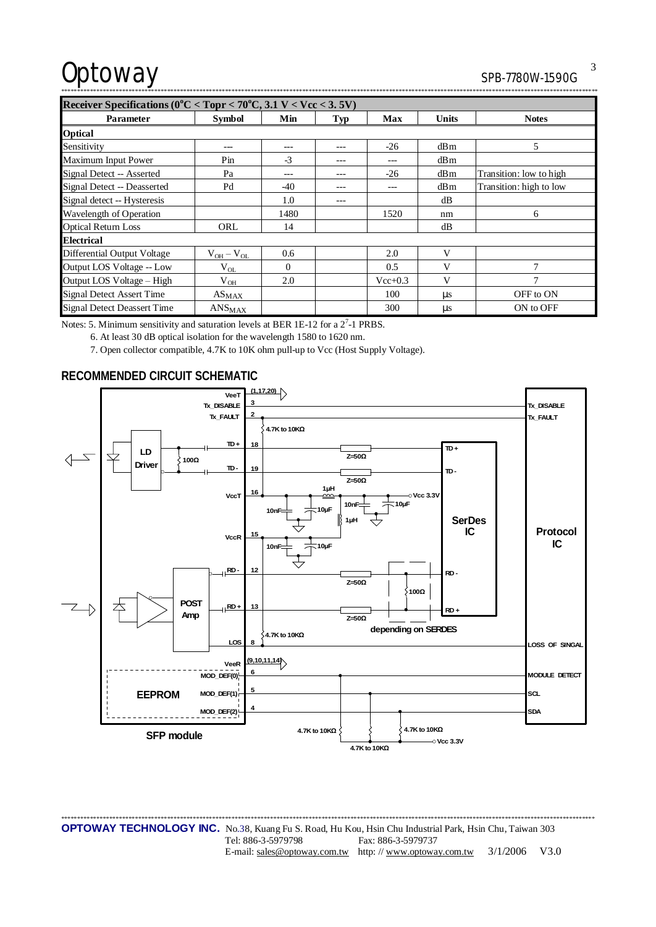| 315-1180W-1990G |
|-----------------|
|                 |

| Receiver Specifications ( $0^{\circ}$ C < Topr < 70 $^{\circ}$ C, 3.1 V < Vcc < 3.5V) |                               |          |     |             |              |                         |  |
|---------------------------------------------------------------------------------------|-------------------------------|----------|-----|-------------|--------------|-------------------------|--|
| <b>Parameter</b>                                                                      | <b>Symbol</b>                 | Min      | Typ | <b>Max</b>  | <b>Units</b> | <b>Notes</b>            |  |
| <b>Optical</b>                                                                        |                               |          |     |             |              |                         |  |
| Sensitivity                                                                           |                               |          | --- | $-26$       | dBm          | 5                       |  |
| Maximum Input Power                                                                   | Pin                           | $-3$     | --- | ---         | dBm          |                         |  |
| Signal Detect -- Asserted                                                             | Pa                            |          |     | $-26$       | dBm          | Transition: low to high |  |
| Signal Detect -- Deasserted                                                           | Pd                            | $-40$    |     | ---         | dBm          | Transition: high to low |  |
| Signal detect -- Hysteresis                                                           |                               | 1.0      | --- |             | dB           |                         |  |
| Wavelength of Operation                                                               |                               | 1480     |     | 1520        | nm           | 6                       |  |
| <b>Optical Return Loss</b>                                                            | ORL                           | 14       |     |             | dB           |                         |  |
| <b>Electrical</b>                                                                     |                               |          |     |             |              |                         |  |
| <b>Differential Output Voltage</b>                                                    | $V_{OH} - V_{OL}$             | 0.6      |     | 2.0         | V            |                         |  |
| Output LOS Voltage -- Low                                                             | $V_{OL}$                      | $\Omega$ |     | 0.5         | V            | $\overline{7}$          |  |
| Output LOS Voltage - High                                                             | $V_{OH}$                      | 2.0      |     | $Vec{+}0.3$ | V            | 7                       |  |
| <b>Signal Detect Assert Time</b>                                                      | $AS_{MAX}$                    |          |     | 100         | us           | OFF to ON               |  |
| <b>Signal Detect Deassert Time</b>                                                    | $\mathrm{ANS}_{\mathrm{MAX}}$ |          |     | 300         | $\mu$ s      | ON to OFF               |  |

Notes: 5. Minimum sensitivity and saturation levels at BER 1E-12 for a  $2^7$ -1 PRBS.

6. At least 30 dB optical isolation for the wavelength 1580 to 1620 nm.

7. Open collector compatible, 4.7K to 10K ohm pull-up to Vcc (Host Supply Voltage).

## **RECOMMENDED CIRCUIT SCHEMATIC**



\*\*\*\*\*\*\*\*\*\*\*\*\*\*\*\*\*\*\*\*\*\*\*\*\*\*\*\*\*\*\*\*\*\*\*\*\*\*\*\*\*\*\*\*\*\*\*\*\*\*\*\*\*\*\*\*\*\*\*\*\*\*\*\*\*\*\*\*\*\*\*\*\*\*\*\*\*\*\*\*\*\*\*\*\*\*\*\*\*\*\*\*\*\*\*\*\*\*\*\*\*\*\*\*\*\*\*\*\*\*\*\*\*\*\*\*\*\*\*\*\*\*\*\*\*\*\*\*\*\*\*\*\*\*\*\*\*\*\*\*\*\*\*\*\*\*\*\*\*\*\*\*\*\*\*\*\*\*\*\*\*\*\*\*\*\* **OPTOWAY TECHNOLOGY INC.** No.38, Kuang Fu S. Road, Hu Kou, Hsin Chu Industrial Park, Hsin Chu, Taiwan 303 Tel: 886-3-5979798 Fax: 886-3-5979737 E-mail: [sales@optoway.com.tw](mailto:sales@optoway.com.tw) http: // [www.optoway.com.tw](http://www.optoway.com.tw) 3/1/2006 V3.0

3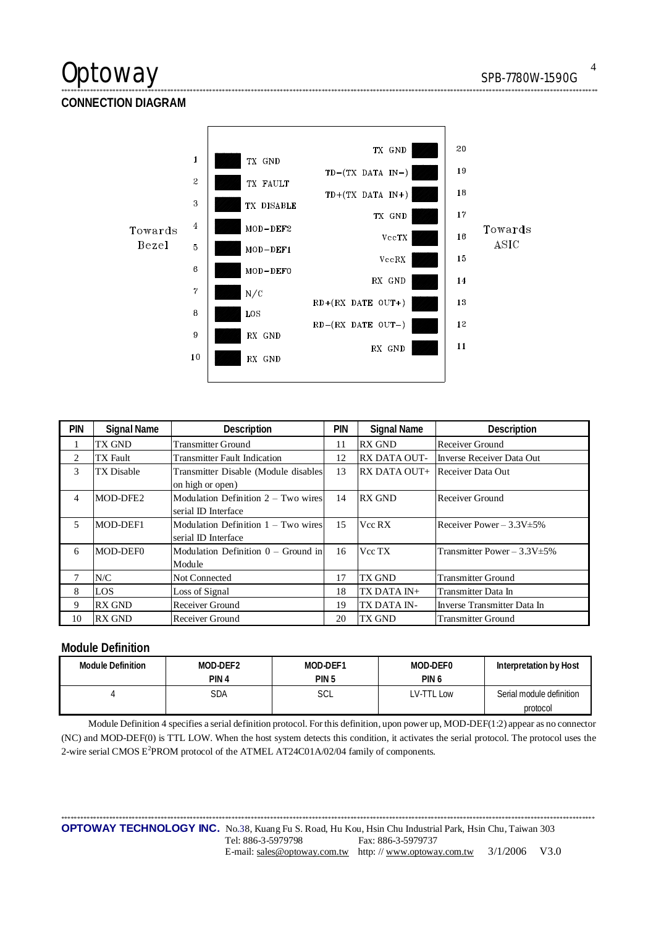**CONNECTION DIAGRAM** 



\*\*\*\*\*\*\*\*\*\*\*\*\*\*\*\*\*\*\*\*\*\*\*\*\*\*\*\*\*\*\*\*\*\*\*\*\*\*\*\*\*\*\*\*\*\*\*\*\*\*\*\*\*\*\*\*\*\*\*\*\*\*\*\*\*\*\*\*\*\*\*\*\*\*\*\*\*\*\*\*\*\*\*\*\*\*\*\*\*\*\*\*\*\*\*\*\*\*\*\*\*\*\*\*\*\*\*\*\*\*\*\*\*\*\*\*\*\*\*\*\*\*\*\*\*\*\*\*\*\*\*\*\*\*\*\*\*\*\*\*\*\*\*\*\*\*\*\*\*\*\*\*\*\*\*\*\*\*\*\*\*\*\*\*\*\*\*

| <b>PIN</b>     | <b>Signal Name</b> | Description                           | pin | <b>Signal Name</b>  | Description                       |
|----------------|--------------------|---------------------------------------|-----|---------------------|-----------------------------------|
|                | TX GND             | <b>Transmitter Ground</b>             | 11  | <b>RX GND</b>       | Receiver Ground                   |
| 2              | <b>TX</b> Fault    | <b>Transmitter Fault Indication</b>   | 12  | <b>RX DATA OUT-</b> | Inverse Receiver Data Out         |
| 3              | <b>TX Disable</b>  | Transmitter Disable (Module disables  | 13  | RX DATA OUT+        | Receiver Data Out                 |
|                |                    | on high or open)                      |     |                     |                                   |
| $\overline{4}$ | MOD-DFE2           | Modulation Definition $2 - Two wires$ | 14  | <b>RX GND</b>       | Receiver Ground                   |
|                |                    | serial ID Interface                   |     |                     |                                   |
| 5              | MOD-DEF1           | Modulation Definition $1 - Two wires$ | 15  | Vcc RX              | Receiver Power $-3.3V \pm 5\%$    |
|                |                    | serial ID Interface                   |     |                     |                                   |
| 6              | MOD-DEF0           | Modulation Definition $0 -$ Ground in | 16  | Vcc TX              | Transmitter Power $-3.3V \pm 5\%$ |
|                |                    | Module                                |     |                     |                                   |
| 7              | N/C                | Not Connected                         | 17  | TX GND              | <b>Transmitter Ground</b>         |
| 8              | LOS                | Loss of Signal                        | 18  | TX DATA IN+         | Transmitter Data In               |
| 9              | <b>RX GND</b>      | Receiver Ground                       | 19  | TX DATA IN-         | Inverse Transmitter Data In       |
| 10             | <b>RX GND</b>      | Receiver Ground                       | 20  | <b>TX GND</b>       | <b>Transmitter Ground</b>         |

## **Module Definition**

| Module Definition | MOD-DEF2 | MOD-DEF1         | MOD-DEF0         | Interpretation by Host   |
|-------------------|----------|------------------|------------------|--------------------------|
|                   | PIN 4    | PIN <sub>5</sub> | PIN <sub>6</sub> |                          |
|                   | SDA      | SCL              | LV-TTL Low       | Serial module definition |
|                   |          |                  |                  | protocol                 |

Module Definition 4 specifies a serial definition protocol. For this definition, upon power up, MOD-DEF(1:2) appear as no connector (NC) and MOD-DEF(0) is TTL LOW. When the host system detects this condition, it activates the serial protocol. The protocol uses the 2-wire serial CMOS E<sup>2</sup>PROM protocol of the ATMEL AT24C01A/02/04 family of components.

\*\*\*\*\*\*\*\*\*\*\*\*\*\*\*\*\*\*\*\*\*\*\*\*\*\*\*\*\*\*\*\*\*\*\*\*\*\*\*\*\*\*\*\*\*\*\*\*\*\*\*\*\*\*\*\*\*\*\*\*\*\*\*\*\*\*\*\*\*\*\*\*\*\*\*\*\*\*\*\*\*\*\*\*\*\*\*\*\*\*\*\*\*\*\*\*\*\*\*\*\*\*\*\*\*\*\*\*\*\*\*\*\*\*\*\*\*\*\*\*\*\*\*\*\*\*\*\*\*\*\*\*\*\*\*\*\*\*\*\*\*\*\*\*\*\*\*\*\*\*\*\*\*\*\*\*\*\*\*\*\*\*\*\*\*\* **OPTOWAY TECHNOLOGY INC.** No.38, Kuang Fu S. Road, Hu Kou, Hsin Chu Industrial Park, Hsin Chu, Taiwan 303 Tel: 886-3-5979798 Fax: 886-3-5979737 E-mail: [sales@optoway.com.tw](mailto:sales@optoway.com.tw) http: // [www.optoway.com.tw](http://www.optoway.com.tw) 3/1/2006 V3.0

4